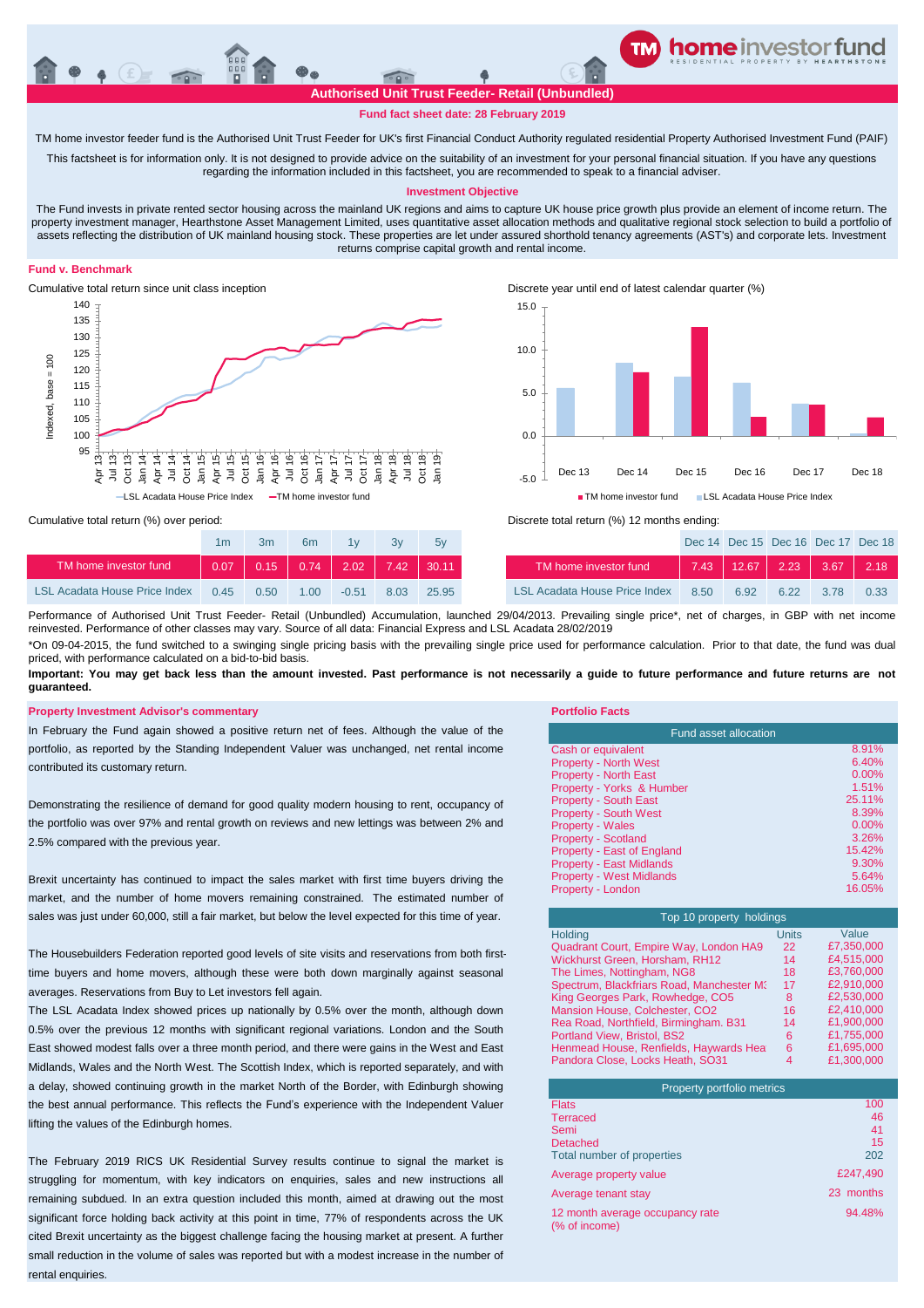## **Fund fact sheet date: 28 February 2019**

TM home investor feeder fund is the Authorised Unit Trust Feeder for UK's first Financial Conduct Authority regulated residential Property Authorised Investment Fund (PAIF)

This factsheet is for information only. It is not designed to provide advice on the suitability of an investment for your personal financial situation. If you have any questions regarding the information included in this factsheet, you are recommended to speak to a financial adviser.

#### **Investment Objective**

The Fund invests in private rented sector housing across the mainland UK regions and aims to capture UK house price growth plus provide an element of income return. The property investment manager, Hearthstone Asset Management Limited, uses quantitative asset allocation methods and qualitative regional stock selection to build a portfolio of assets reflecting the distribution of UK mainland housing stock. These properties are let under assured shorthold tenancy agreements (AST's) and corporate lets. Investment returns comprise capital growth and rental income.

## **Fund v. Benchmark**



Cumulative total return since unit class inception Discrete year until end of latest calendar quarter (%) -5.0 0.0 5.0 10.0 15.0 Dec 13 Dec 14 Dec 15 Dec 16 Dec 17 Dec 18 ■ TM home investor fund ■ LSL Acadata House Price Index

Cumulative total return (%) over period:

|                                      | 1m   | 3 <sub>m</sub> | 6m                | 1v      | 3v          | 5v    |                                      |
|--------------------------------------|------|----------------|-------------------|---------|-------------|-------|--------------------------------------|
| TM home investor fund                | 0.07 |                | $0.15$ $0.74$ $ $ |         | $2.02$ 7.42 | 30.11 | TM home investor fund                |
| <b>LSL Acadata House Price Index</b> | 0.45 | 0.50           | 1.00              | $-0.51$ | 8.03        | 25.95 | <b>LSL Acadata House Price Index</b> |



| 1 <sub>m</sub> | 3m   | 6 <sub>m</sub> | 1v      |      | 5v                                    |                                      |      |      | Dec 14 Dec 15 Dec 16 Dec 17 Dec 18  |      |      |
|----------------|------|----------------|---------|------|---------------------------------------|--------------------------------------|------|------|-------------------------------------|------|------|
| 0.07           |      |                |         |      | $ 0.15 $ 0.74 $ 2.02 $ 7.42 $ 30.11 $ | TM home investor fund                |      |      | $7.43$   12.67   2.23   3.67   2.18 |      |      |
| 0.45           | 0.50 | 1.00           | $-0.51$ | 8.03 | 25.95                                 | <b>LSL Acadata House Price Index</b> | 8.50 | 6.92 | 6.22                                | 3.78 | 0.33 |

\*On 09-04-2015, the fund switched to a swinging single pricing basis with the prevailing single price used for performance calculation. Prior to that date, the fund was dual priced, with performance calculated on a bid-to-bid basis. Performance of Authorised Unit Trust Feeder- Retail (Unbundled) Accumulation, launched 29/04/2013. Prevailing single price\*, net of charges, in GBP with net income reinvested. Performance of other classes may vary. Source of all data: Financial Express and LSL Acadata 28/02/2019

Important: You may get back less than the amount invested. Past performance is not necessarily a guide to future performance and future returns are not **guaranteed.** 

### **Property Investment Advisor's commentary Portfolio Facts**

In February the Fund again showed a positive return net of fees. Although the value of the portfolio, as reported by the Standing Independent Valuer was unchanged, net rental income contributed its customary return.

Demonstrating the resilience of demand for good quality modern housing to rent, occupancy of the portfolio was over 97% and rental growth on reviews and new lettings was between 2% and 2.5% compared with the previous year.

Brexit uncertainty has continued to impact the sales market with first time buyers driving the market, and the number of home movers remaining constrained. The estimated number of sales was just under 60,000, still a fair market, but below the level expected for this time of year.

The Housebuilders Federation reported good levels of site visits and reservations from both firsttime buyers and home movers, although these were both down marginally against seasonal averages. Reservations from Buy to Let investors fell again.

The LSL Acadata Index showed prices up nationally by 0.5% over the month, although down 0.5% over the previous 12 months with significant regional variations. London and the South East showed modest falls over a three month period, and there were gains in the West and East Midlands, Wales and the North West. The Scottish Index, which is reported separately, and with a delay, showed continuing growth in the market North of the Border, with Edinburgh showing the best annual performance. This reflects the Fund's experience with the Independent Valuer lifting the values of the Edinburgh homes.

The February 2019 RICS UK Residential Survey results continue to signal the market is struggling for momentum, with key indicators on enquiries, sales and new instructions all remaining subdued. In an extra question included this month, aimed at drawing out the most significant force holding back activity at this point in time, 77% of respondents across the UK cited Brexit uncertainty as the biggest challenge facing the housing market at present. A further small reduction in the volume of sales was reported but with a modest increase in the number of rental enquiries.

| <b>Fund asset allocation</b>      |          |  |  |  |
|-----------------------------------|----------|--|--|--|
| Cash or equivalent                | 8.91%    |  |  |  |
| <b>Property - North West</b>      | 6.40%    |  |  |  |
| <b>Property - North East</b>      | $0.00\%$ |  |  |  |
| Property - Yorks & Humber         | 1.51%    |  |  |  |
| <b>Property - South East</b>      | 25.11%   |  |  |  |
| <b>Property - South West</b>      | 8.39%    |  |  |  |
| <b>Property - Wales</b>           | $0.00\%$ |  |  |  |
| <b>Property - Scotland</b>        | 3.26%    |  |  |  |
| <b>Property - East of England</b> | 15.42%   |  |  |  |
| <b>Property - East Midlands</b>   | 9.30%    |  |  |  |
| <b>Property - West Midlands</b>   | 5.64%    |  |  |  |
| Property - London                 | 16.05%   |  |  |  |

| Top 10 property holdings                  |       |            |  |  |  |  |  |
|-------------------------------------------|-------|------------|--|--|--|--|--|
| Holding                                   | Units | Value      |  |  |  |  |  |
| Quadrant Court, Empire Way, London HA9    | 22    | £7,350,000 |  |  |  |  |  |
| Wickhurst Green, Horsham, RH12            | 14    | £4,515,000 |  |  |  |  |  |
| The Limes, Nottingham, NG8                | 18    | £3.760.000 |  |  |  |  |  |
| Spectrum, Blackfriars Road, Manchester M3 | 17    | £2,910,000 |  |  |  |  |  |
| King Georges Park, Rowhedge, CO5          | 8     | £2.530.000 |  |  |  |  |  |
| Mansion House, Colchester, CO2            | 16    | £2,410,000 |  |  |  |  |  |
| Rea Road, Northfield, Birmingham. B31     | 14    | £1.900.000 |  |  |  |  |  |
| Portland View, Bristol, BS2               | 6     | £1,755,000 |  |  |  |  |  |
| Henmead House, Renfields, Haywards Heat   | 6     | £1.695.000 |  |  |  |  |  |
| Pandora Close, Locks Heath, SO31          | 4     | £1.300.000 |  |  |  |  |  |

| Property portfolio metrics                       |           |
|--------------------------------------------------|-----------|
| <b>Flats</b>                                     | 100       |
| <b>Terraced</b>                                  | 46        |
| Semi                                             | 41        |
| <b>Detached</b>                                  | 15        |
| Total number of properties                       | 202       |
| Average property value                           | £247.490  |
| Average tenant stay                              | 23 months |
| 12 month average occupancy rate<br>(% of income) | 94.48%    |